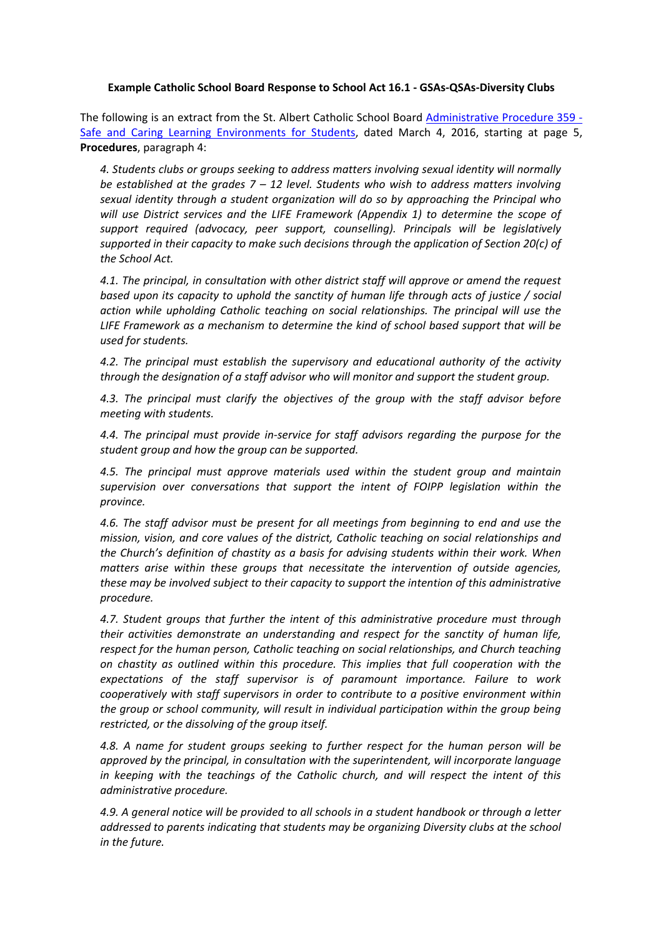## **Example Catholic School Board Response to School Act 16.1 - GSAs-QSAs-Diversity Clubs**

The following is an extract from the St. Albert Catholic School Board [Administrative Procedure 359](http://www.gsacrd.ab.ca/download/9185) - [Safe and Caring Learning Environments for Students,](http://www.gsacrd.ab.ca/download/9185) dated March 4, 2016, starting at page 5, **Procedures**, paragraph 4:

*4. Students clubs or groups seeking to address matters involving sexual identity will normally be established at the grades 7 – 12 level. Students who wish to address matters involving sexual identity through a student organization will do so by approaching the Principal who will use District services and the LIFE Framework (Appendix 1) to determine the scope of support required (advocacy, peer support, counselling). Principals will be legislatively supported in their capacity to make such decisions through the application of Section 20(c) of the School Act.*

*4.1. The principal, in consultation with other district staff will approve or amend the request based upon its capacity to uphold the sanctity of human life through acts of justice / social action while upholding Catholic teaching on social relationships. The principal will use the LIFE Framework as a mechanism to determine the kind of school based support that will be used for students.*

*4.2. The principal must establish the supervisory and educational authority of the activity through the designation of a staff advisor who will monitor and support the student group.*

*4.3. The principal must clarify the objectives of the group with the staff advisor before meeting with students.*

*4.4. The principal must provide in-service for staff advisors regarding the purpose for the student group and how the group can be supported.*

*4.5. The principal must approve materials used within the student group and maintain supervision over conversations that support the intent of FOIPP legislation within the province.*

*4.6. The staff advisor must be present for all meetings from beginning to end and use the mission, vision, and core values of the district, Catholic teaching on social relationships and the Church's definition of chastity as a basis for advising students within their work. When matters arise within these groups that necessitate the intervention of outside agencies, these may be involved subject to their capacity to support the intention of this administrative procedure.*

*4.7. Student groups that further the intent of this administrative procedure must through their activities demonstrate an understanding and respect for the sanctity of human life, respect for the human person, Catholic teaching on social relationships, and Church teaching on chastity as outlined within this procedure. This implies that full cooperation with the expectations of the staff supervisor is of paramount importance. Failure to work cooperatively with staff supervisors in order to contribute to a positive environment within the group or school community, will result in individual participation within the group being restricted, or the dissolving of the group itself.*

*4.8. A name for student groups seeking to further respect for the human person will be approved by the principal, in consultation with the superintendent, will incorporate language in keeping with the teachings of the Catholic church, and will respect the intent of this administrative procedure.*

*4.9. A general notice will be provided to all schools in a student handbook or through a letter addressed to parents indicating that students may be organizing Diversity clubs at the school in the future.*